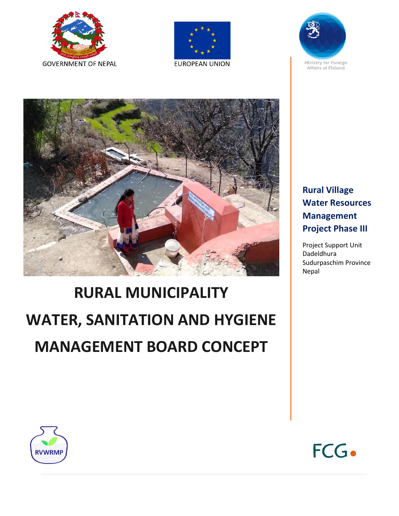







# **RURAL MUNICIPALITY WATER, SANITATION AND HYGIENE MANAGEMENT BOARD CONCEPT**



Project Support Unit Dadeldhura Sudurpaschim Province Nepal



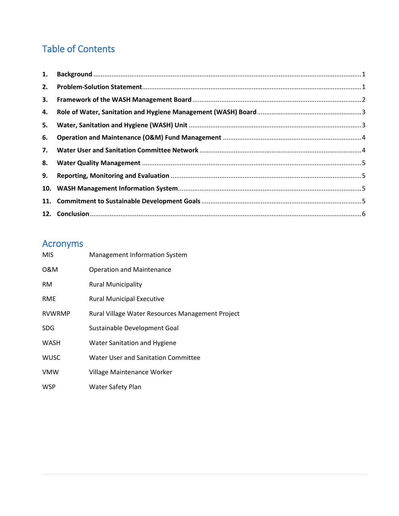## Table of Contents

| 1. |  |
|----|--|
| 2. |  |
| 3. |  |
| 4. |  |
| 5. |  |
| 6. |  |
| 7. |  |
| 8. |  |
| 9. |  |
|    |  |
|    |  |
|    |  |

# Acronyms

| <b>MIS</b>    | <b>Management Information System</b>             |
|---------------|--------------------------------------------------|
| 0&M           | <b>Operation and Maintenance</b>                 |
| <b>RM</b>     | <b>Rural Municipality</b>                        |
| <b>RME</b>    | <b>Rural Municipal Executive</b>                 |
| <b>RVWRMP</b> | Rural Village Water Resources Management Project |
| <b>SDG</b>    | Sustainable Development Goal                     |
| WASH          | Water Sanitation and Hygiene                     |
| <b>WUSC</b>   | Water User and Sanitation Committee              |
| <b>VMW</b>    | Village Maintenance Worker                       |
| WSP           | Water Safety Plan                                |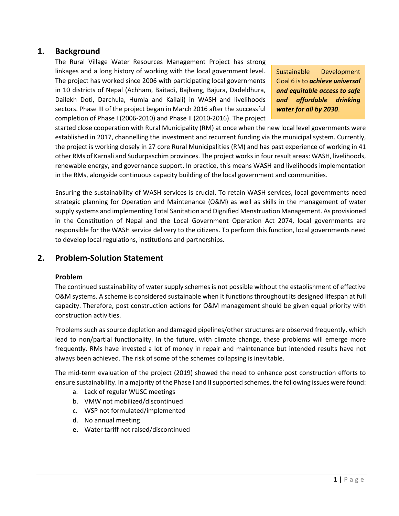## <span id="page-2-0"></span>**1. Background**

The Rural Village Water Resources Management Project has strong linkages and a long history of working with the local government level. The project has worked since 2006 with participating local governments in 10 districts of Nepal (Achham, Baitadi, Bajhang, Bajura, Dadeldhura, Dailekh Doti, Darchula, Humla and Kailali) in WASH and livelihoods sectors. Phase III of the project began in March 2016 after the successful completion of Phase I (2006-2010) and Phase II (2010-2016). The project

Sustainable Development Goal 6 is to *achieve universal and equitable access to safe and affordable drinking water for all by 2030*.

started close cooperation with Rural Municipality (RM) at once when the new local level governments were established in 2017, channelling the investment and recurrent funding via the municipal system. Currently, the project is working closely in 27 core Rural Municipalities (RM) and has past experience of working in 41 other RMs of Karnali and Sudurpaschim provinces. The project works in four result areas: WASH, livelihoods, renewable energy, and governance support. In practice, this means WASH and livelihoods implementation in the RMs, alongside continuous capacity building of the local government and communities.

Ensuring the sustainability of WASH services is crucial. To retain WASH services, local governments need strategic planning for Operation and Maintenance (O&M) as well as skills in the management of water supply systems and implementing Total Sanitation and Dignified Menstruation Management. As provisioned in the Constitution of Nepal and the Local Government Operation Act 2074, local governments are responsible for the WASH service delivery to the citizens. To perform this function, local governments need to develop local regulations, institutions and partnerships.

## <span id="page-2-1"></span>**2. Problem-Solution Statement**

#### **Problem**

The continued sustainability of water supply schemes is not possible without the establishment of effective O&M systems. A scheme is considered sustainable when it functions throughout its designed lifespan at full capacity. Therefore, post construction actions for O&M management should be given equal priority with construction activities.

Problems such as source depletion and damaged pipelines/other structures are observed frequently, which lead to non/partial functionality. In the future, with climate change, these problems will emerge more frequently. RMs have invested a lot of money in repair and maintenance but intended results have not always been achieved. The risk of some of the schemes collapsing is inevitable.

The mid-term evaluation of the project (2019) showed the need to enhance post construction efforts to ensure sustainability. In a majority of the Phase I and II supported schemes, the following issues were found:

- a. Lack of regular WUSC meetings
- b. VMW not mobilized/discontinued
- c. WSP not formulated/implemented
- d. No annual meeting
- **e.** Water tariff not raised/discontinued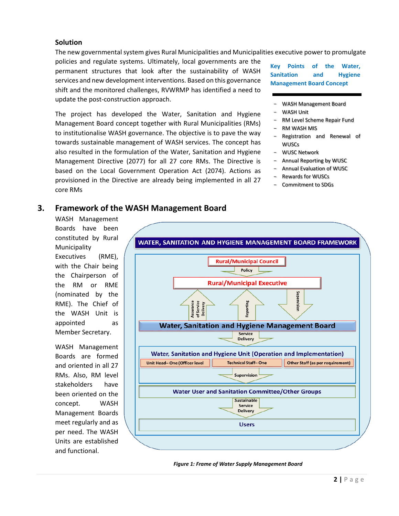#### **Solution**

The new governmental system gives Rural Municipalities and Municipalities executive power to promulgate policies and regulate systems. Ultimately, local governments are the

permanent structures that look after the sustainability of WASH services and new development interventions. Based on this governance shift and the monitored challenges, RVWRMP has identified a need to update the post-construction approach.

The project has developed the Water, Sanitation and Hygiene Management Board concept together with Rural Municipalities (RMs) to institutionalise WASH governance. The objective is to pave the way towards sustainable management of WASH services. The concept has also resulted in the formulation of the Water, Sanitation and Hygiene Management Directive (2077) for all 27 core RMs. The Directive is based on the Local Government Operation Act (2074). Actions as provisioned in the Directive are already being implemented in all 27 core RMs

**Key Points of the Water, Sanitation and Hygiene Management Board Concept**

- WASH Management Board
- WASH Unit
- RM Level Scheme Repair Fund
- RM WASH MIS
- Registration and Renewal of WUSCs
- WUSC Network
- Annual Reporting by WUSC
- Annual Evaluation of WUSC
- Rewards for WUSCs
- Commitment to SDGs

#### <span id="page-3-0"></span>**3. Framework of the WASH Management Board**

WASH Management Boards have been constituted by Rural Municipality Executives (RME), with the Chair being the Chairperson of the RM or RME (nominated by the RME). The Chief of the WASH Unit is appointed as Member Secretary.

WASH Management Boards are formed and oriented in all 27 RMs. Also, RM level stakeholders have been oriented on the concept. WASH Management Boards meet regularly and as per need. The WASH Units are established and functional.



*Figure 1: Frame of Water Supply Management Board*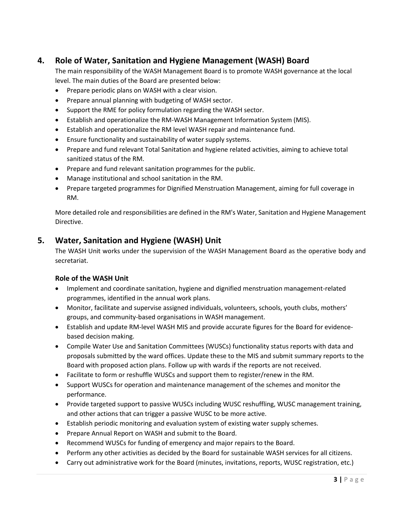## <span id="page-4-0"></span>**4. Role of Water, Sanitation and Hygiene Management (WASH) Board**

The main responsibility of the WASH Management Board is to promote WASH governance at the local level. The main duties of the Board are presented below:

- Prepare periodic plans on WASH with a clear vision.
- Prepare annual planning with budgeting of WASH sector.
- Support the RME for policy formulation regarding the WASH sector.
- Establish and operationalize the RM-WASH Management Information System (MIS).
- Establish and operationalize the RM level WASH repair and maintenance fund.
- Ensure functionality and sustainability of water supply systems.
- Prepare and fund relevant Total Sanitation and hygiene related activities, aiming to achieve total sanitized status of the RM.
- Prepare and fund relevant sanitation programmes for the public.
- Manage institutional and school sanitation in the RM.
- Prepare targeted programmes for Dignified Menstruation Management, aiming for full coverage in RM.

More detailed role and responsibilities are defined in the RM's Water, Sanitation and Hygiene Management Directive.

## <span id="page-4-1"></span>**5. Water, Sanitation and Hygiene (WASH) Unit**

The WASH Unit works under the supervision of the WASH Management Board as the operative body and secretariat.

#### **Role of the WASH Unit**

- Implement and coordinate sanitation, hygiene and dignified menstruation management-related programmes, identified in the annual work plans.
- Monitor, facilitate and supervise assigned individuals, volunteers, schools, youth clubs, mothers' groups, and community-based organisations in WASH management.
- Establish and update RM-level WASH MIS and provide accurate figures for the Board for evidencebased decision making.
- Compile Water Use and Sanitation Committees (WUSCs) functionality status reports with data and proposals submitted by the ward offices. Update these to the MIS and submit summary reports to the Board with proposed action plans. Follow up with wards if the reports are not received.
- Facilitate to form or reshuffle WUSCs and support them to register/renew in the RM.
- Support WUSCs for operation and maintenance management of the schemes and monitor the performance.
- Provide targeted support to passive WUSCs including WUSC reshuffling, WUSC management training, and other actions that can trigger a passive WUSC to be more active.
- Establish periodic monitoring and evaluation system of existing water supply schemes.
- Prepare Annual Report on WASH and submit to the Board.
- Recommend WUSCs for funding of emergency and major repairs to the Board.
- Perform any other activities as decided by the Board for sustainable WASH services for all citizens.
- Carry out administrative work for the Board (minutes, invitations, reports, WUSC registration, etc.)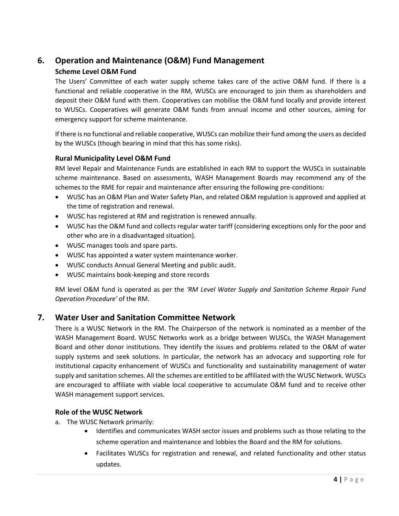## <span id="page-5-0"></span>**6. Operation and Maintenance (O&M) Fund Management**

#### **Scheme Level O&M Fund**

The Users' Committee of each water supply scheme takes care of the active O&M fund. If there is a functional and reliable cooperative in the RM, WUSCs are encouraged to join them as shareholders and deposit their O&M fund with them. Cooperatives can mobilise the O&M fund locally and provide interest to WUSCs. Cooperatives will generate O&M funds from annual income and other sources, aiming for emergency support for scheme maintenance.

If there is no functional and reliable cooperative, WUSCs can mobilize their fund among the users as decided by the WUSCs (though bearing in mind that this has some risks).

#### **Rural Municipality Level O&M Fund**

RM level Repair and Maintenance Funds are established in each RM to support the WUSCs in sustainable scheme maintenance. Based on assessments, WASH Management Boards may recommend any of the schemes to the RME for repair and maintenance after ensuring the following pre-conditions:

- WUSC has an O&M Plan and Water Safety Plan, and related O&M regulation is approved and applied at the time of registration and renewal.
- WUSC has registered at RM and registration is renewed annually.
- WUSC has the O&M fund and collects regular water tariff (considering exceptions only for the poor and other who are in a disadvantaged situation).
- WUSC manages tools and spare parts.
- WUSC has appointed a water system maintenance worker.
- WUSC conducts Annual General Meeting and public audit.
- WUSC maintains book-keeping and store records

RM level O&M fund is operated as per the *'RM Level Water Supply and Sanitation Scheme Repair Fund Operation Procedure'* of the RM.

## <span id="page-5-1"></span>**7. Water User and Sanitation Committee Network**

There is a WUSC Network in the RM. The Chairperson of the network is nominated as a member of the WASH Management Board. WUSC Networks work as a bridge between WUSCs, the WASH Management Board and other donor institutions. They identify the issues and problems related to the O&M of water supply systems and seek solutions. In particular, the network has an advocacy and supporting role for institutional capacity enhancement of WUSCs and functionality and sustainability management of water supply and sanitation schemes. All the schemes are entitled to be affiliated with the WUSC Network. WUSCs are encouraged to affiliate with viable local cooperative to accumulate O&M fund and to receive other WASH management support services.

#### **Role of the WUSC Network**

- a. The WUSC Network primarily:
	- Identifies and communicates WASH sector issues and problems such as those relating to the scheme operation and maintenance and lobbies the Board and the RM for solutions.
	- Facilitates WUSCs for registration and renewal, and related functionality and other status updates.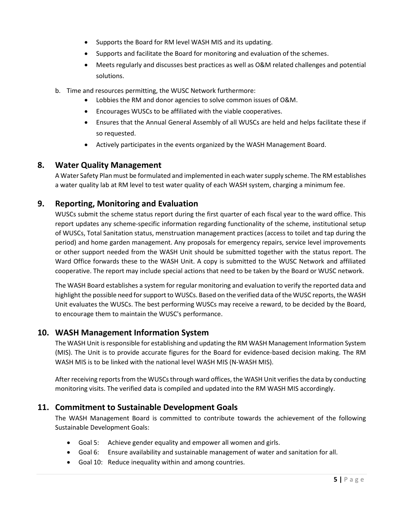- Supports the Board for RM level WASH MIS and its updating.
- Supports and facilitate the Board for monitoring and evaluation of the schemes.
- Meets regularly and discusses best practices as well as O&M related challenges and potential solutions.
- b. Time and resources permitting, the WUSC Network furthermore:
	- Lobbies the RM and donor agencies to solve common issues of O&M.
	- Encourages WUSCs to be affiliated with the viable cooperatives.
	- Ensures that the Annual General Assembly of all WUSCs are held and helps facilitate these if so requested.
	- Actively participates in the events organized by the WASH Management Board.

#### <span id="page-6-0"></span>**8. Water Quality Management**

A Water Safety Plan must be formulated and implemented in each water supply scheme. The RM establishes a water quality lab at RM level to test water quality of each WASH system, charging a minimum fee.

## <span id="page-6-1"></span>**9. Reporting, Monitoring and Evaluation**

WUSCs submit the scheme status report during the first quarter of each fiscal year to the ward office. This report updates any scheme-specific information regarding functionality of the scheme, institutional setup of WUSCs, Total Sanitation status, menstruation management practices (access to toilet and tap during the period) and home garden management. Any proposals for emergency repairs, service level improvements or other support needed from the WASH Unit should be submitted together with the status report. The Ward Office forwards these to the WASH Unit. A copy is submitted to the WUSC Network and affiliated cooperative. The report may include special actions that need to be taken by the Board or WUSC network.

The WASH Board establishes a system for regular monitoring and evaluation to verify the reported data and highlight the possible need for support to WUSCs. Based on the verified data of the WUSC reports, the WASH Unit evaluates the WUSCs. The best performing WUSCs may receive a reward, to be decided by the Board, to encourage them to maintain the WUSC's performance.

## <span id="page-6-2"></span>**10. WASH Management Information System**

The WASH Unit is responsible for establishing and updating the RM WASH Management Information System (MIS). The Unit is to provide accurate figures for the Board for evidence-based decision making. The RM WASH MIS is to be linked with the national level WASH MIS (N-WASH MIS).

After receiving reports from the WUSCs through ward offices, the WASH Unit verifies the data by conducting monitoring visits. The verified data is compiled and updated into the RM WASH MIS accordingly.

#### <span id="page-6-3"></span>**11. Commitment to Sustainable Development Goals**

The WASH Management Board is committed to contribute towards the achievement of the following Sustainable Development Goals:

- Goal 5: Achieve gender equality and empower all women and girls.
- Goal 6: Ensure availability and sustainable management of water and sanitation for all.
- Goal 10: Reduce inequality within and among countries.